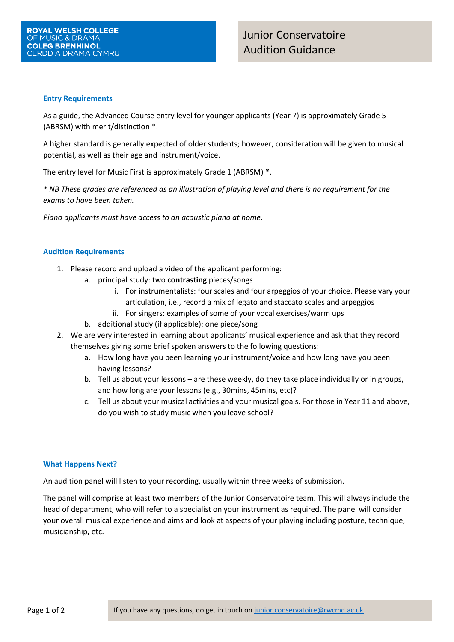### **Entry Requirements**

As a guide, the Advanced Course entry level for younger applicants (Year 7) is approximately Grade 5 (ABRSM) with merit/distinction \*.

A higher standard is generally expected of older students; however, consideration will be given to musical potential, as well as their age and instrument/voice.

The entry level for Music First is approximately Grade 1 (ABRSM) \*.

*\* NB These grades are referenced as an illustration of playing level and there is no requirement for the exams to have been taken.*

*Piano applicants must have access to an acoustic piano at home.*

## **Audition Requirements**

- 1. Please record and upload a video of the applicant performing:
	- a. principal study: two **contrasting** pieces/songs
		- i. For instrumentalists: four scales and four arpeggios of your choice. Please vary your articulation, i.e., record a mix of legato and staccato scales and arpeggios
		- ii. For singers: examples of some of your vocal exercises/warm ups
	- b. additional study (if applicable): one piece/song
- 2. We are very interested in learning about applicants' musical experience and ask that they record themselves giving some brief spoken answers to the following questions:
	- a. How long have you been learning your instrument/voice and how long have you been having lessons?
	- b. Tell us about your lessons are these weekly, do they take place individually or in groups, and how long are your lessons (e.g., 30mins, 45mins, etc)?
	- c. Tell us about your musical activities and your musical goals. For those in Year 11 and above, do you wish to study music when you leave school?

## **What Happens Next?**

An audition panel will listen to your recording, usually within three weeks of submission.

The panel will comprise at least two members of the Junior Conservatoire team. This will always include the head of department, who will refer to a specialist on your instrument as required. The panel will consider your overall musical experience and aims and look at aspects of your playing including posture, technique, musicianship, etc.